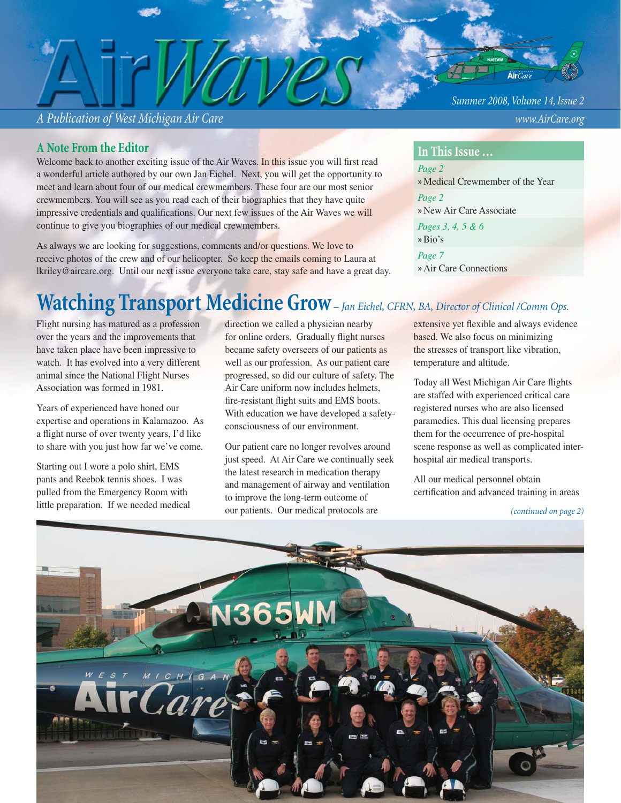*A Publication of West Michigan Air Care www.AirCare.org*

**A Note From the Editor**

Welcome back to another exciting issue of the Air Waves. In this issue you will first read a wonderful article authored by our own Jan Eichel. Next, you will get the opportunity to meet and learn about four of our medical crewmembers. These four are our most senior crewmembers. You will see as you read each of their biographies that they have quite impressive credentials and qualifications. Our next few issues of the Air Waves we will continue to give you biographies of our medical crewmembers.

As always we are looking for suggestions, comments and/or questions. We love to receive photos of the crew and of our helicopter. So keep the emails coming to Laura at lkriley@aircare.org. Until our next issue everyone take care, stay safe and have a great day. *Summer 2008, Volume 14, Issue 2*

#### **In This Issue …**

*Page 2*  » Medical Crewmember of the Year *Page 2*  » New Air Care Associate *Pages 3, 4, 5 & 6* »Bio's *Page 7* » Air Care Connections

# **Watching Transport Medicine Grow** *– Jan Eichel, CFRN, BA, Director of Clinical /Comm Ops.*

Flight nursing has matured as a profession over the years and the improvements that have taken place have been impressive to watch. It has evolved into a very different animal since the National Flight Nurses Association was formed in 1981.

Years of experienced have honed our expertise and operations in Kalamazoo. As a flight nurse of over twenty years, I'd like to share with you just how far we've come.

Starting out I wore a polo shirt, EMS pants and Reebok tennis shoes. I was pulled from the Emergency Room with little preparation. If we needed medical direction we called a physician nearby for online orders. Gradually flight nurses became safety overseers of our patients as well as our profession. As our patient care progressed, so did our culture of safety. The Air Care uniform now includes helmets, fire-resistant flight suits and EMS boots. With education we have developed a safetyconsciousness of our environment.

Our patient care no longer revolves around just speed. At Air Care we continually seek the latest research in medication therapy and management of airway and ventilation to improve the long-term outcome of our patients. Our medical protocols are

extensive yet flexible and always evidence based. We also focus on minimizing the stresses of transport like vibration, temperature and altitude.

Today all West Michigan Air Care flights are staffed with experienced critical care registered nurses who are also licensed paramedics. This dual licensing prepares them for the occurrence of pre-hospital scene response as well as complicated interhospital air medical transports.

All our medical personnel obtain certification and advanced training in areas

*<sup>(</sup>continued on page 2)*

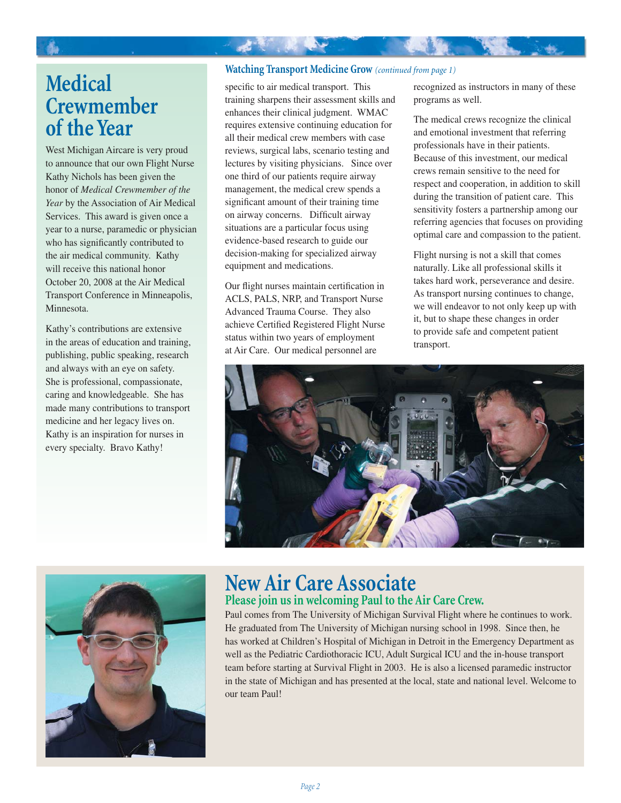#### **Watching Transport Medicine Grow** *(continued from page 1)*

## **Medical Crewmember of the Year**

West Michigan Aircare is very proud to announce that our own Flight Nurse Kathy Nichols has been given the honor of *Medical Crewmember of the Year* by the Association of Air Medical Services. This award is given once a year to a nurse, paramedic or physician who has significantly contributed to the air medical community. Kathy will receive this national honor October 20, 2008 at the Air Medical Transport Conference in Minneapolis, Minnesota.

Kathy's contributions are extensive in the areas of education and training, publishing, public speaking, research and always with an eye on safety. She is professional, compassionate, caring and knowledgeable. She has made many contributions to transport medicine and her legacy lives on. Kathy is an inspiration for nurses in every specialty. Bravo Kathy!

specific to air medical transport. This training sharpens their assessment skills and enhances their clinical judgment. WMAC requires extensive continuing education for all their medical crew members with case reviews, surgical labs, scenario testing and lectures by visiting physicians. Since over one third of our patients require airway management, the medical crew spends a significant amount of their training time on airway concerns. Difficult airway situations are a particular focus using evidence-based research to guide our decision-making for specialized airway equipment and medications.

**大学 化学** 

Our flight nurses maintain certification in ACLS, PALS, NRP, and Transport Nurse Advanced Trauma Course. They also achieve Certified Registered Flight Nurse status within two years of employment at Air Care. Our medical personnel are

recognized as instructors in many of these programs as well.

The medical crews recognize the clinical and emotional investment that referring professionals have in their patients. Because of this investment, our medical crews remain sensitive to the need for respect and cooperation, in addition to skill during the transition of patient care. This sensitivity fosters a partnership among our referring agencies that focuses on providing optimal care and compassion to the patient.

Flight nursing is not a skill that comes naturally. Like all professional skills it takes hard work, perseverance and desire. As transport nursing continues to change, we will endeavor to not only keep up with it, but to shape these changes in order to provide safe and competent patient transport.





## **New Air Care Associate Please join us in welcoming Paul to the Air Care Crew.**

Paul comes from The University of Michigan Survival Flight where he continues to work. He graduated from The University of Michigan nursing school in 1998. Since then, he has worked at Children's Hospital of Michigan in Detroit in the Emergency Department as well as the Pediatric Cardiothoracic ICU, Adult Surgical ICU and the in-house transport team before starting at Survival Flight in 2003. He is also a licensed paramedic instructor in the state of Michigan and has presented at the local, state and national level. Welcome to our team Paul!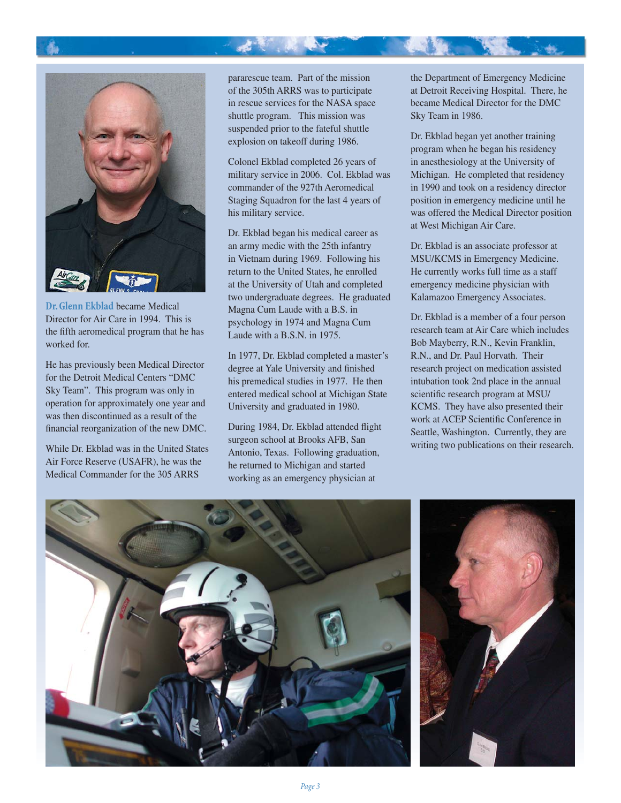

**Dr. Glenn Ekblad** became Medical Director for Air Care in 1994. This is the fifth aeromedical program that he has worked for.

He has previously been Medical Director for the Detroit Medical Centers "DMC Sky Team". This program was only in operation for approximately one year and was then discontinued as a result of the financial reorganization of the new DMC.

While Dr. Ekblad was in the United States Air Force Reserve (USAFR), he was the Medical Commander for the 305 ARRS

pararescue team. Part of the mission of the 305th ARRS was to participate in rescue services for the NASA space shuttle program. This mission was suspended prior to the fateful shuttle explosion on takeoff during 1986.

大家 化电子

Colonel Ekblad completed 26 years of military service in 2006. Col. Ekblad was commander of the 927th Aeromedical Staging Squadron for the last 4 years of his military service.

Dr. Ekblad began his medical career as an army medic with the 25th infantry in Vietnam during 1969. Following his return to the United States, he enrolled at the University of Utah and completed two undergraduate degrees. He graduated Magna Cum Laude with a B.S. in psychology in 1974 and Magna Cum Laude with a B.S.N. in 1975.

In 1977, Dr. Ekblad completed a master's degree at Yale University and finished his premedical studies in 1977. He then entered medical school at Michigan State University and graduated in 1980.

During 1984, Dr. Ekblad attended flight surgeon school at Brooks AFB, San Antonio, Texas. Following graduation, he returned to Michigan and started working as an emergency physician at

the Department of Emergency Medicine at Detroit Receiving Hospital. There, he became Medical Director for the DMC Sky Team in 1986.

Dr. Ekblad began yet another training program when he began his residency in anesthesiology at the University of Michigan. He completed that residency in 1990 and took on a residency director position in emergency medicine until he was offered the Medical Director position at West Michigan Air Care.

Dr. Ekblad is an associate professor at MSU/KCMS in Emergency Medicine. He currently works full time as a staff emergency medicine physician with Kalamazoo Emergency Associates.

Dr. Ekblad is a member of a four person research team at Air Care which includes Bob Mayberry, R.N., Kevin Franklin, R.N., and Dr. Paul Horvath. Their research project on medication assisted intubation took 2nd place in the annual scientific research program at MSU/ KCMS. They have also presented their work at ACEP Scientific Conference in Seattle, Washington. Currently, they are writing two publications on their research.

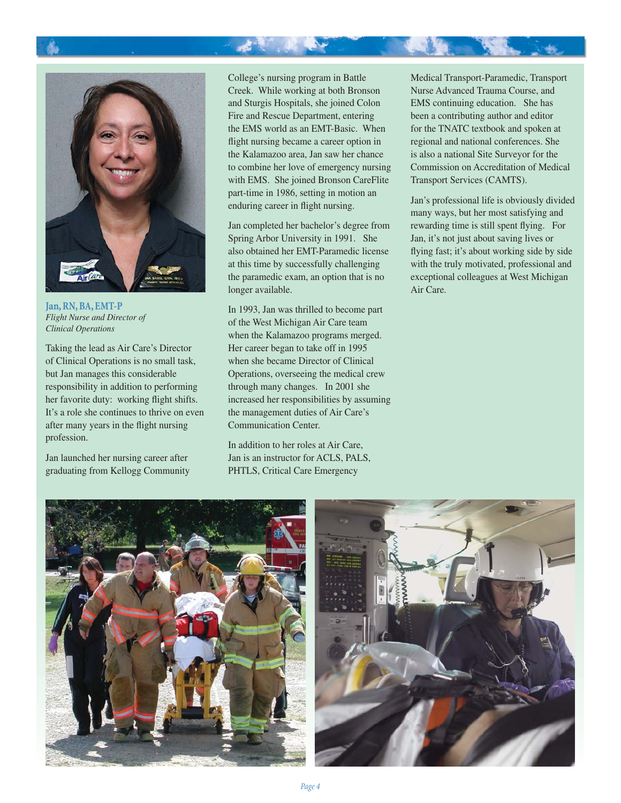

**Jan, RN, BA, EMT-P** *Flight Nurse and Director of Clinical Operations*

Taking the lead as Air Care's Director of Clinical Operations is no small task, but Jan manages this considerable responsibility in addition to performing her favorite duty: working flight shifts. It's a role she continues to thrive on even after many years in the flight nursing profession.

Jan launched her nursing career after graduating from Kellogg Community College's nursing program in Battle Creek. While working at both Bronson and Sturgis Hospitals, she joined Colon Fire and Rescue Department, entering the EMS world as an EMT-Basic. When flight nursing became a career option in the Kalamazoo area, Jan saw her chance to combine her love of emergency nursing with EMS. She joined Bronson CareFlite part-time in 1986, setting in motion an enduring career in flight nursing.

Jan completed her bachelor's degree from Spring Arbor University in 1991. She also obtained her EMT-Paramedic license at this time by successfully challenging the paramedic exam, an option that is no longer available.

In 1993, Jan was thrilled to become part of the West Michigan Air Care team when the Kalamazoo programs merged. Her career began to take off in 1995 when she became Director of Clinical Operations, overseeing the medical crew through many changes. In 2001 she increased her responsibilities by assuming the management duties of Air Care's Communication Center.

In addition to her roles at Air Care, Jan is an instructor for ACLS, PALS, PHTLS, Critical Care Emergency

Medical Transport-Paramedic, Transport Nurse Advanced Trauma Course, and EMS continuing education. She has been a contributing author and editor for the TNATC textbook and spoken at regional and national conferences. She is also a national Site Surveyor for the Commission on Accreditation of Medical Transport Services (CAMTS).

Jan's professional life is obviously divided many ways, but her most satisfying and rewarding time is still spent flying. For Jan, it's not just about saving lives or flying fast; it's about working side by side with the truly motivated, professional and exceptional colleagues at West Michigan Air Care.



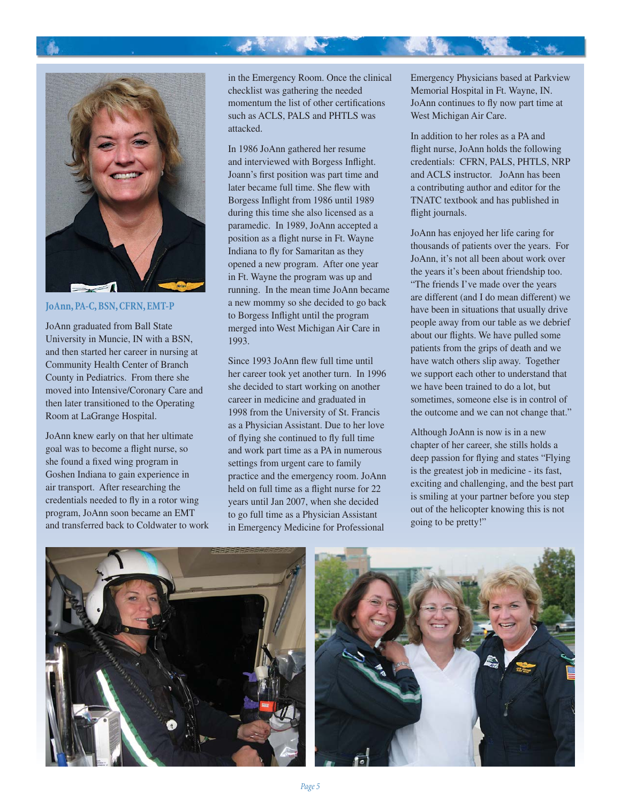



**JoAnn, PA-C, BSN, CFRN, EMT-P**

JoAnn graduated from Ball State University in Muncie, IN with a BSN, and then started her career in nursing at Community Health Center of Branch County in Pediatrics. From there she moved into Intensive/Coronary Care and then later transitioned to the Operating Room at LaGrange Hospital.

JoAnn knew early on that her ultimate goal was to become a flight nurse, so she found a fixed wing program in Goshen Indiana to gain experience in air transport. After researching the credentials needed to fly in a rotor wing program, JoAnn soon became an EMT and transferred back to Coldwater to work in the Emergency Room. Once the clinical checklist was gathering the needed momentum the list of other certifications such as ACLS, PALS and PHTLS was attacked.

大家 人名

In 1986 JoAnn gathered her resume and interviewed with Borgess Inflight. Joann's first position was part time and later became full time. She flew with Borgess Inflight from 1986 until 1989 during this time she also licensed as a paramedic. In 1989, JoAnn accepted a position as a flight nurse in Ft. Wayne Indiana to fly for Samaritan as they opened a new program. After one year in Ft. Wayne the program was up and running. In the mean time JoAnn became a new mommy so she decided to go back to Borgess Inflight until the program merged into West Michigan Air Care in 1993.

Since 1993 JoAnn flew full time until her career took yet another turn. In 1996 she decided to start working on another career in medicine and graduated in 1998 from the University of St. Francis as a Physician Assistant. Due to her love of flying she continued to fly full time and work part time as a PA in numerous settings from urgent care to family practice and the emergency room. JoAnn held on full time as a flight nurse for 22 years until Jan 2007, when she decided to go full time as a Physician Assistant in Emergency Medicine for Professional

Emergency Physicians based at Parkview Memorial Hospital in Ft. Wayne, IN. JoAnn continues to fly now part time at West Michigan Air Care.

In addition to her roles as a PA and flight nurse, JoAnn holds the following credentials: CFRN, PALS, PHTLS, NRP and ACLS instructor. JoAnn has been a contributing author and editor for the TNATC textbook and has published in flight journals.

JoAnn has enjoyed her life caring for thousands of patients over the years. For JoAnn, it's not all been about work over the years it's been about friendship too. "The friends I've made over the years are different (and I do mean different) we have been in situations that usually drive people away from our table as we debrief about our flights. We have pulled some patients from the grips of death and we have watch others slip away. Together we support each other to understand that we have been trained to do a lot, but sometimes, someone else is in control of the outcome and we can not change that."

Although JoAnn is now is in a new chapter of her career, she stills holds a deep passion for flying and states "Flying" is the greatest job in medicine - its fast, exciting and challenging, and the best part is smiling at your partner before you step out of the helicopter knowing this is not going to be pretty!"



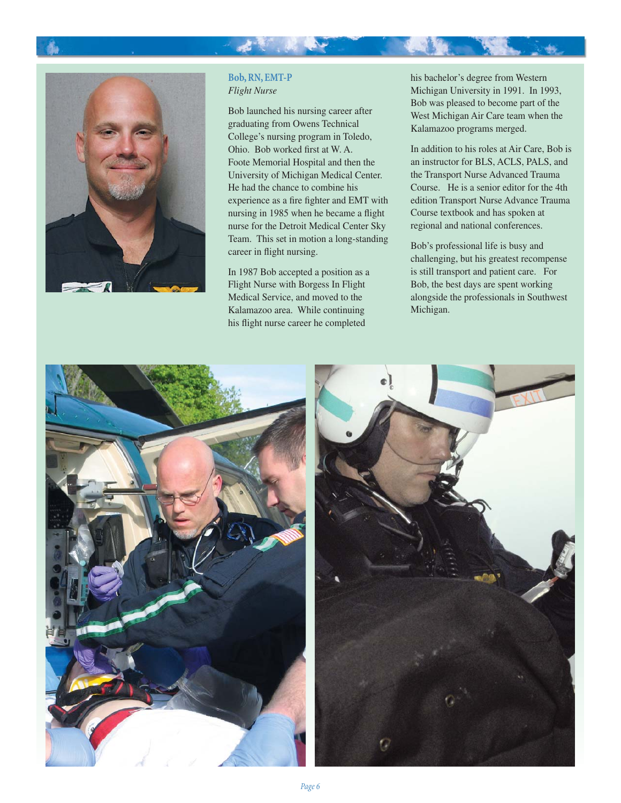

#### **Bob, RN, EMT-P** *Flight Nurse*

大家 人名

Bob launched his nursing career after graduating from Owens Technical College's nursing program in Toledo, Ohio. Bob worked first at W.A. Foote Memorial Hospital and then the University of Michigan Medical Center. He had the chance to combine his experience as a fire fighter and EMT with nursing in 1985 when he became a flight nurse for the Detroit Medical Center Sky Team. This set in motion a long-standing career in flight nursing.

In 1987 Bob accepted a position as a Flight Nurse with Borgess In Flight Medical Service, and moved to the Kalamazoo area. While continuing his flight nurse career he completed

his bachelor's degree from Western Michigan University in 1991. In 1993, Bob was pleased to become part of the West Michigan Air Care team when the Kalamazoo programs merged.

In addition to his roles at Air Care, Bob is an instructor for BLS, ACLS, PALS, and the Transport Nurse Advanced Trauma Course. He is a senior editor for the 4th edition Transport Nurse Advance Trauma Course textbook and has spoken at regional and national conferences.

Bob's professional life is busy and challenging, but his greatest recompense is still transport and patient care. For Bob, the best days are spent working alongside the professionals in Southwest Michigan.

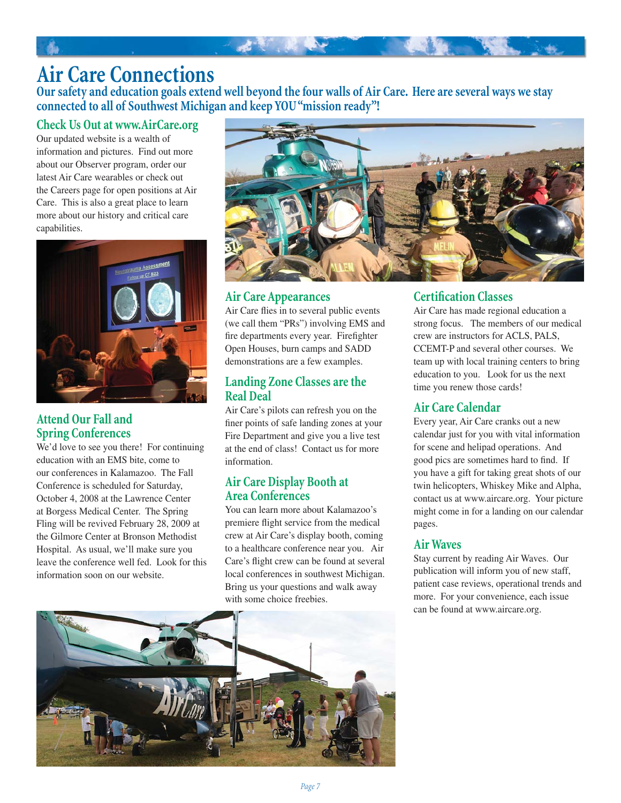## **Air Care Connections**

**Our safety and education goals extend well beyond the four walls of Air Care. Here are several ways we stay connected to all of Southwest Michigan and keep YOU "mission ready"!**

**大型 医** 

### **Check Us Out at www.AirCare.org**

Our updated website is a wealth of information and pictures. Find out more about our Observer program, order our latest Air Care wearables or check out the Careers page for open positions at Air Care. This is also a great place to learn more about our history and critical care capabilities.



#### **Attend Our Fall and Spring Conferences**

We'd love to see you there! For continuing education with an EMS bite, come to our conferences in Kalamazoo. The Fall Conference is scheduled for Saturday, October 4, 2008 at the Lawrence Center at Borgess Medical Center. The Spring Fling will be revived February 28, 2009 at the Gilmore Center at Bronson Methodist Hospital. As usual, we'll make sure you leave the conference well fed. Look for this information soon on our website.



#### **Air Care Appearances**

Air Care flies in to several public events (we call them "PRs") involving EMS and fire departments every year. Firefighter Open Houses, burn camps and SADD demonstrations are a few examples.

#### **Landing Zone Classes are the Real Deal**

Air Care's pilots can refresh you on the finer points of safe landing zones at your Fire Department and give you a live test at the end of class! Contact us for more information.

#### **Air Care Display Booth at Area Conferences**

You can learn more about Kalamazoo's premiere flight service from the medical crew at Air Care's display booth, coming to a healthcare conference near you. Air Care's flight crew can be found at several local conferences in southwest Michigan. Bring us your questions and walk away with some choice freebies.

#### **Certification Classes**

Air Care has made regional education a strong focus. The members of our medical crew are instructors for ACLS, PALS, CCEMT-P and several other courses. We team up with local training centers to bring education to you. Look for us the next time you renew those cards!

### **Air Care Calendar**

Every year, Air Care cranks out a new calendar just for you with vital information for scene and helipad operations. And good pics are sometimes hard to find. If you have a gift for taking great shots of our twin helicopters, Whiskey Mike and Alpha, contact us at www.aircare.org. Your picture might come in for a landing on our calendar pages.

#### **Air Waves**

Stay current by reading Air Waves. Our publication will inform you of new staff, patient case reviews, operational trends and more. For your convenience, each issue can be found at www.aircare.org.